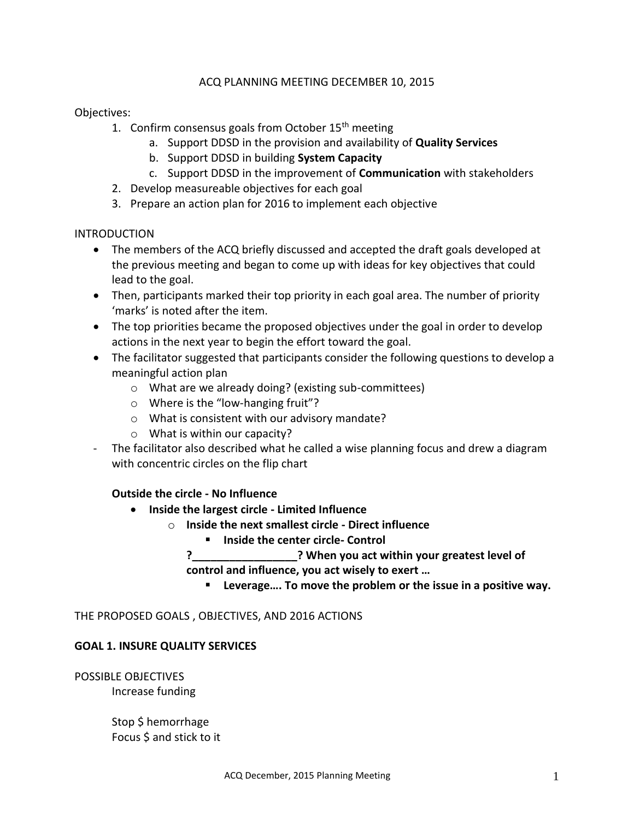# ACQ PLANNING MEETING DECEMBER 10, 2015

Objectives:

- 1. Confirm consensus goals from October  $15<sup>th</sup>$  meeting
	- a. Support DDSD in the provision and availability of **Quality Services**
	- b. Support DDSD in building **System Capacity**
	- c. Support DDSD in the improvement of **Communication** with stakeholders
- 2. Develop measureable objectives for each goal
- 3. Prepare an action plan for 2016 to implement each objective

### INTRODUCTION

- The members of the ACQ briefly discussed and accepted the draft goals developed at the previous meeting and began to come up with ideas for key objectives that could lead to the goal.
- Then, participants marked their top priority in each goal area. The number of priority 'marks' is noted after the item.
- The top priorities became the proposed objectives under the goal in order to develop actions in the next year to begin the effort toward the goal.
- The facilitator suggested that participants consider the following questions to develop a meaningful action plan
	- o What are we already doing? (existing sub-committees)
	- o Where is the "low-hanging fruit"?
	- o What is consistent with our advisory mandate?
	- o What is within our capacity?
- The facilitator also described what he called a wise planning focus and drew a diagram with concentric circles on the flip chart

# **Outside the circle - No Influence**

- **Inside the largest circle - Limited Influence**
	- o **Inside the next smallest circle - Direct influence**
		- **Inside the center circle- Control**
		- **?\_\_\_\_\_\_\_\_\_\_\_\_\_\_\_\_\_? When you act within your greatest level of control and influence, you act wisely to exert …**
			- **Leverage…. To move the problem or the issue in a positive way.**

THE PROPOSED GOALS , OBJECTIVES, AND 2016 ACTIONS

# **GOAL 1. INSURE QUALITY SERVICES**

POSSIBLE OBJECTIVES Increase funding

> Stop \$ hemorrhage Focus \$ and stick to it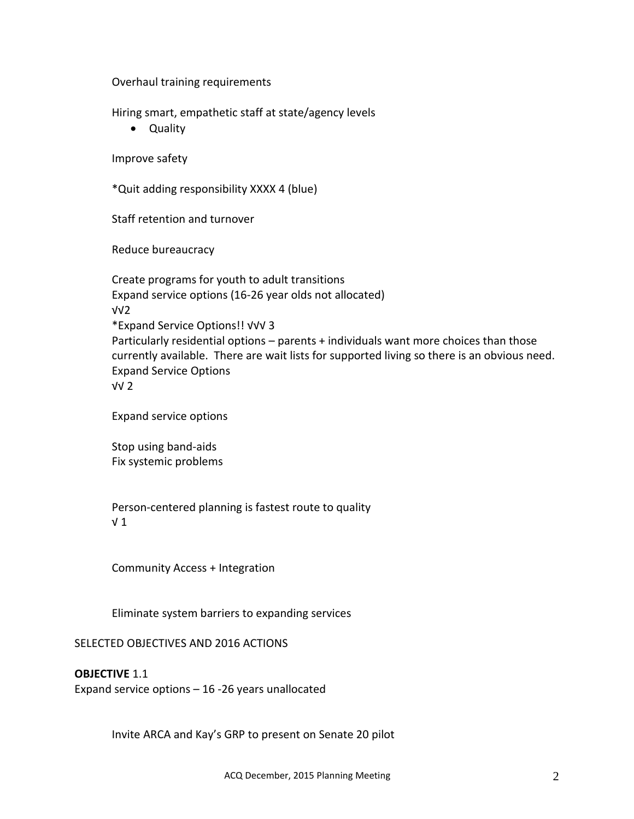Overhaul training requirements

Hiring smart, empathetic staff at state/agency levels

Quality

Improve safety

\*Quit adding responsibility XXXX 4 (blue)

Staff retention and turnover

Reduce bureaucracy

Create programs for youth to adult transitions Expand service options (16-26 year olds not allocated) √√2 \*Expand Service Options!! √√√ 3 Particularly residential options – parents + individuals want more choices than those currently available. There are wait lists for supported living so there is an obvious need. Expand Service Options √√ 2

Expand service options

Stop using band-aids Fix systemic problems

Person-centered planning is fastest route to quality √ 1

Community Access + Integration

Eliminate system barriers to expanding services

# SELECTED OBJECTIVES AND 2016 ACTIONS

**OBJECTIVE** 1.1

Expand service options – 16 -26 years unallocated

Invite ARCA and Kay's GRP to present on Senate 20 pilot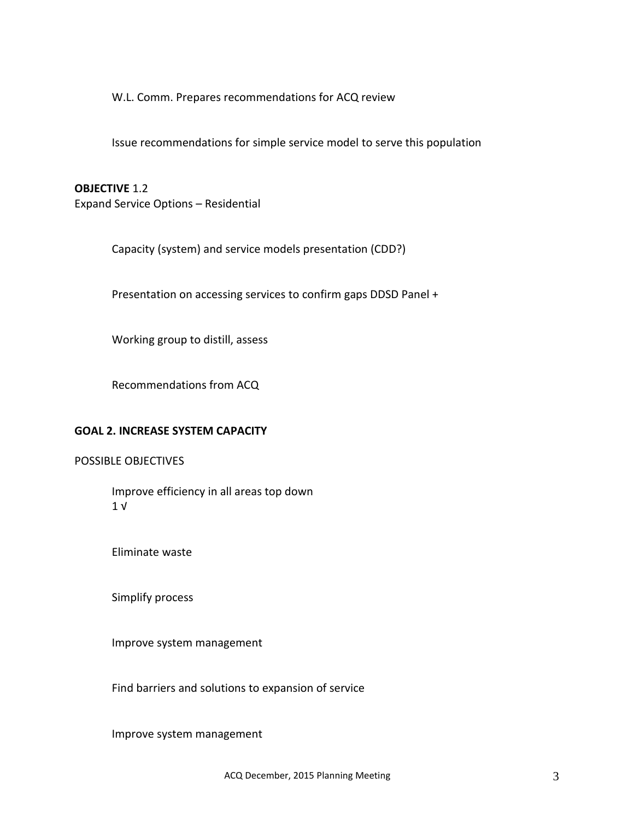W.L. Comm. Prepares recommendations for ACQ review

Issue recommendations for simple service model to serve this population

## **OBJECTIVE** 1.2

Expand Service Options – Residential

Capacity (system) and service models presentation (CDD?)

Presentation on accessing services to confirm gaps DDSD Panel +

Working group to distill, assess

Recommendations from ACQ

#### **GOAL 2. INCREASE SYSTEM CAPACITY**

## POSSIBLE OBJECTIVES

Improve efficiency in all areas top down 1 √

Eliminate waste

Simplify process

Improve system management

Find barriers and solutions to expansion of service

Improve system management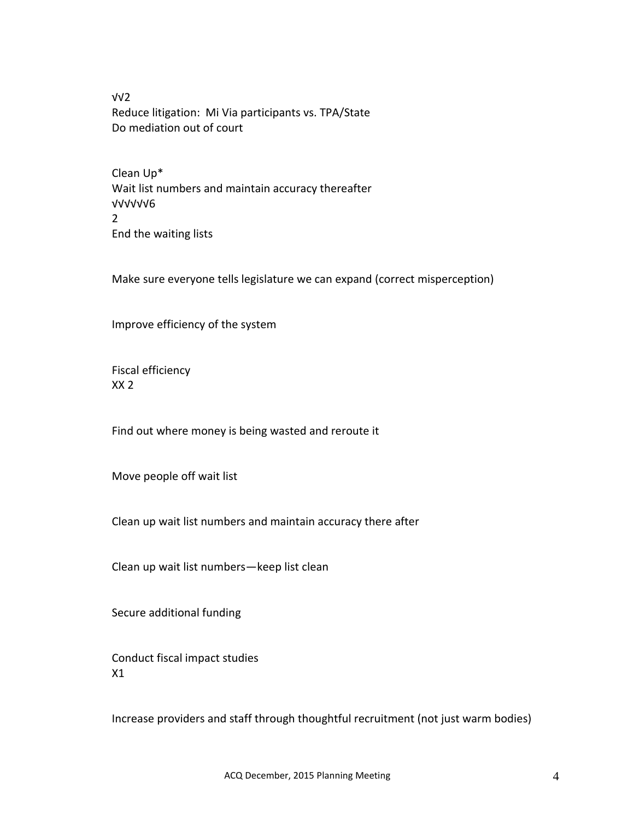√√2 Reduce litigation: Mi Via participants vs. TPA/State Do mediation out of court

Clean Up\* Wait list numbers and maintain accuracy thereafter √√√√√√6 2 End the waiting lists

Make sure everyone tells legislature we can expand (correct misperception)

Improve efficiency of the system

Fiscal efficiency XX 2

Find out where money is being wasted and reroute it

Move people off wait list

Clean up wait list numbers and maintain accuracy there after

Clean up wait list numbers—keep list clean

Secure additional funding

Conduct fiscal impact studies X1

Increase providers and staff through thoughtful recruitment (not just warm bodies)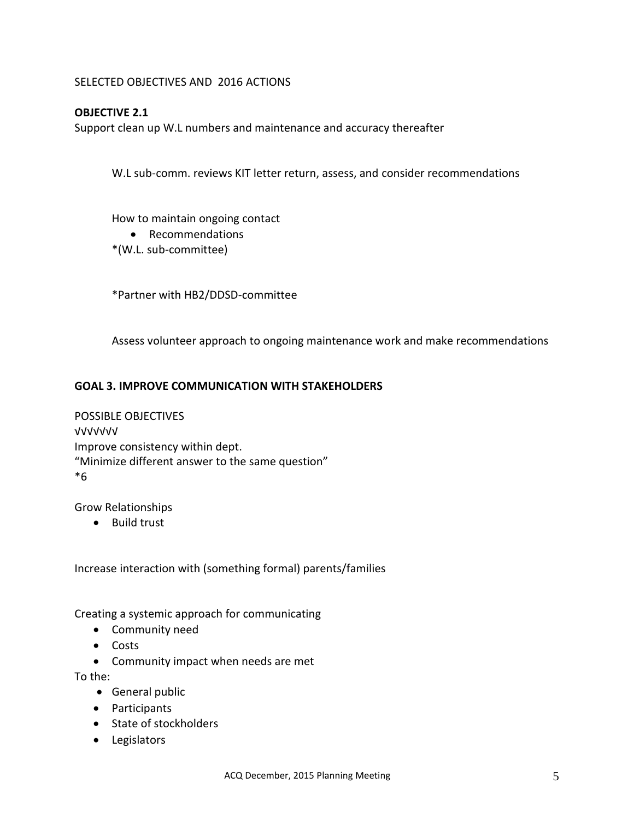SELECTED OBJECTIVES AND 2016 ACTIONS

# **OBJECTIVE 2.1**

Support clean up W.L numbers and maintenance and accuracy thereafter

W.L sub-comm. reviews KIT letter return, assess, and consider recommendations

How to maintain ongoing contact

- Recommendations
- \*(W.L. sub-committee)

\*Partner with HB2/DDSD-committee

Assess volunteer approach to ongoing maintenance work and make recommendations

# **GOAL 3. IMPROVE COMMUNICATION WITH STAKEHOLDERS**

POSSIBLE OBJECTIVES √√√√√√√ Improve consistency within dept. "Minimize different answer to the same question" \*6

Grow Relationships

**•** Build trust

Increase interaction with (something formal) parents/families

Creating a systemic approach for communicating

- Community need
- Costs
- Community impact when needs are met

To the:

- General public
- Participants
- State of stockholders
- Legislators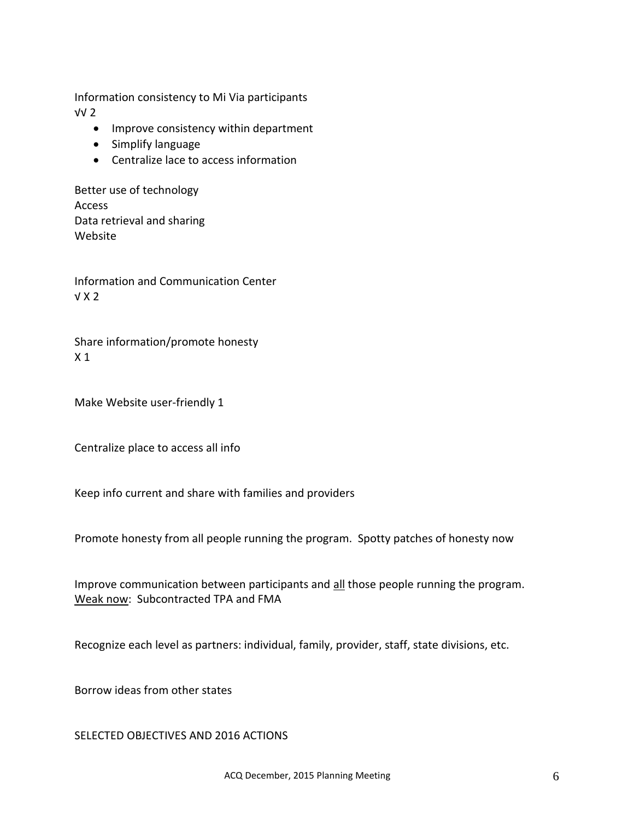Information consistency to Mi Via participants √√ 2

- Improve consistency within department
- Simplify language
- Centralize lace to access information

Better use of technology Access Data retrieval and sharing Website

Information and Communication Center √ X 2

Share information/promote honesty X 1

Make Website user-friendly 1

Centralize place to access all info

Keep info current and share with families and providers

Promote honesty from all people running the program. Spotty patches of honesty now

Improve communication between participants and all those people running the program. Weak now: Subcontracted TPA and FMA

Recognize each level as partners: individual, family, provider, staff, state divisions, etc.

Borrow ideas from other states

SELECTED OBJECTIVES AND 2016 ACTIONS